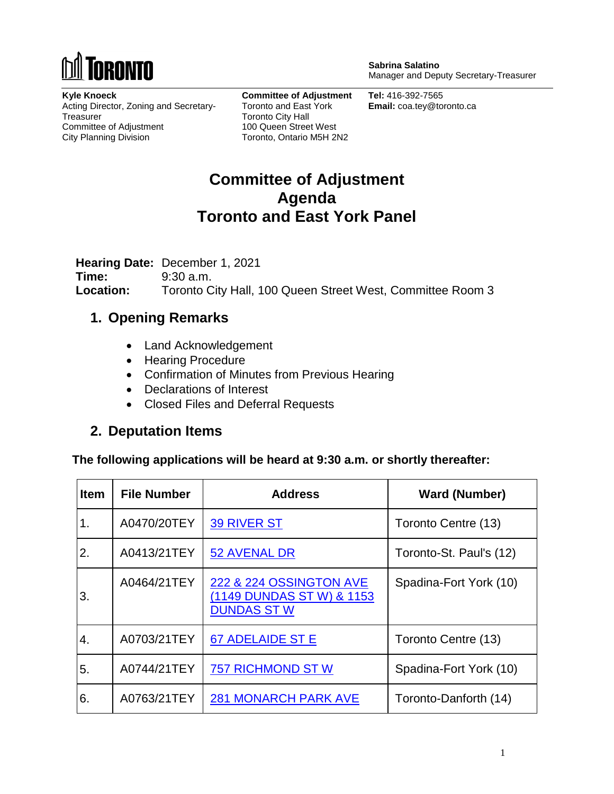

**Sabrina Salatino** Manager and Deputy Secretary-Treasurer

**Kyle Knoeck** Acting Director, Zoning and Secretary-**Treasurer** Committee of Adjustment City Planning Division

**Committee of Adjustment** Toronto and East York Toronto City Hall 100 Queen Street West Toronto, Ontario M5H 2N2

**Tel:** 416-392-7565 **Email:** coa.tey@toronto.ca

## **Committee of Adjustment Agenda Toronto and East York Panel**

**Hearing Date:** December 1, 2021 **Time:** 9:30 a.m. **Location:** Toronto City Hall, 100 Queen Street West, Committee Room 3

## **1. Opening Remarks**

- Land Acknowledgement
- Hearing Procedure
- Confirmation of Minutes from Previous Hearing
- Declarations of Interest
- Closed Files and Deferral Requests

## **2. Deputation Items**

**The following applications will be heard at 9:30 a.m. or shortly thereafter:**

| <b>Item</b> | <b>File Number</b> | <b>Address</b>                                                             | <b>Ward (Number)</b>    |
|-------------|--------------------|----------------------------------------------------------------------------|-------------------------|
| 1.          | A0470/20TEY        | <b>39 RIVER ST</b>                                                         | Toronto Centre (13)     |
| 2.          | A0413/21TEY        | <b>52 AVENAL DR</b>                                                        | Toronto-St. Paul's (12) |
| 3.          | A0464/21TEY        | 222 & 224 OSSINGTON AVE<br>(1149 DUNDAS ST W) & 1153<br><b>DUNDAS ST W</b> | Spadina-Fort York (10)  |
| 4.          | A0703/21TEY        | <b>67 ADELAIDE ST E</b>                                                    | Toronto Centre (13)     |
| 5.          | A0744/21TEY        | <b>757 RICHMOND ST W</b>                                                   | Spadina-Fort York (10)  |
| 6.          | A0763/21TEY        | <b>281 MONARCH PARK AVE</b>                                                | Toronto-Danforth (14)   |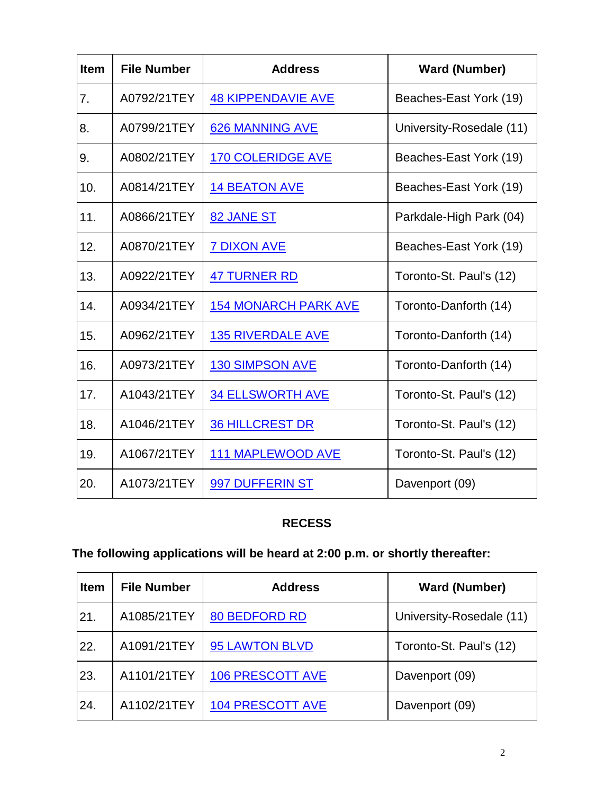| Item | <b>File Number</b> | <b>Address</b>              | <b>Ward (Number)</b>     |
|------|--------------------|-----------------------------|--------------------------|
| 7.   | A0792/21TEY        | <b>48 KIPPENDAVIE AVE</b>   | Beaches-East York (19)   |
| 8.   | A0799/21TEY        | 626 MANNING AVE             | University-Rosedale (11) |
| 9.   | A0802/21TEY        | <b>170 COLERIDGE AVE</b>    | Beaches-East York (19)   |
| 10.  | A0814/21TEY        | <b>14 BEATON AVE</b>        | Beaches-East York (19)   |
| 11.  | A0866/21TEY        | 82 JANE ST                  | Parkdale-High Park (04)  |
| 12.  | A0870/21TEY        | <b>7 DIXON AVE</b>          | Beaches-East York (19)   |
| 13.  | A0922/21TEY        | <b>47 TURNER RD</b>         | Toronto-St. Paul's (12)  |
| 14.  | A0934/21TEY        | <b>154 MONARCH PARK AVE</b> | Toronto-Danforth (14)    |
| 15.  | A0962/21TEY        | <b>135 RIVERDALE AVE</b>    | Toronto-Danforth (14)    |
| 16.  | A0973/21TEY        | <b>130 SIMPSON AVE</b>      | Toronto-Danforth (14)    |
| 17.  | A1043/21TEY        | <b>34 ELLSWORTH AVE</b>     | Toronto-St. Paul's (12)  |
| 18.  | A1046/21TEY        | <b>36 HILLCREST DR</b>      | Toronto-St. Paul's (12)  |
| 19.  | A1067/21TEY        | <b>111 MAPLEWOOD AVE</b>    | Toronto-St. Paul's (12)  |
| 20.  | A1073/21TEY        | 997 DUFFERIN ST             | Davenport (09)           |

#### **RECESS**

# **The following applications will be heard at 2:00 p.m. or shortly thereafter:**

| <b>Item</b> | <b>File Number</b> | <b>Address</b>          | <b>Ward (Number)</b>     |
|-------------|--------------------|-------------------------|--------------------------|
| 21.         | A1085/21TEY        | <b>80 BEDFORD RD</b>    | University-Rosedale (11) |
| 22.         | A1091/21TEY        | 95 LAWTON BLVD          | Toronto-St. Paul's (12)  |
| 23.         | A1101/21TEY        | <b>106 PRESCOTT AVE</b> | Davenport (09)           |
| 24.         | A1102/21TEY        | <b>104 PRESCOTT AVE</b> | Davenport (09)           |